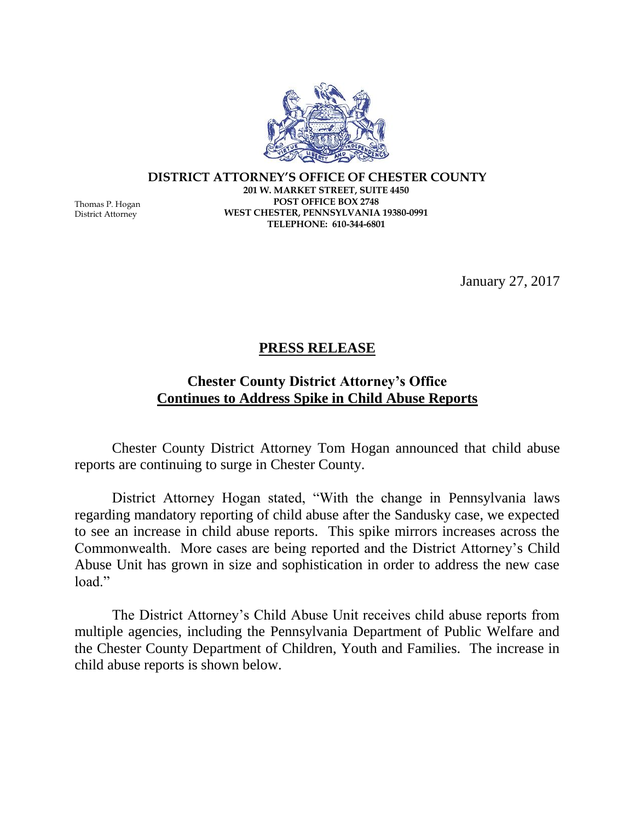

**DISTRICT ATTORNEY'S OFFICE OF CHESTER COUNTY 201 W. MARKET STREET, SUITE 4450 POST OFFICE BOX 2748 WEST CHESTER, PENNSYLVANIA 19380-0991 TELEPHONE: 610-344-6801**

January 27, 2017

## **PRESS RELEASE**

## **Chester County District Attorney's Office Continues to Address Spike in Child Abuse Reports**

Chester County District Attorney Tom Hogan announced that child abuse reports are continuing to surge in Chester County.

District Attorney Hogan stated, "With the change in Pennsylvania laws regarding mandatory reporting of child abuse after the Sandusky case, we expected to see an increase in child abuse reports. This spike mirrors increases across the Commonwealth. More cases are being reported and the District Attorney's Child Abuse Unit has grown in size and sophistication in order to address the new case load."

The District Attorney's Child Abuse Unit receives child abuse reports from multiple agencies, including the Pennsylvania Department of Public Welfare and the Chester County Department of Children, Youth and Families. The increase in child abuse reports is shown below.

Thomas P. Hogan District Attorney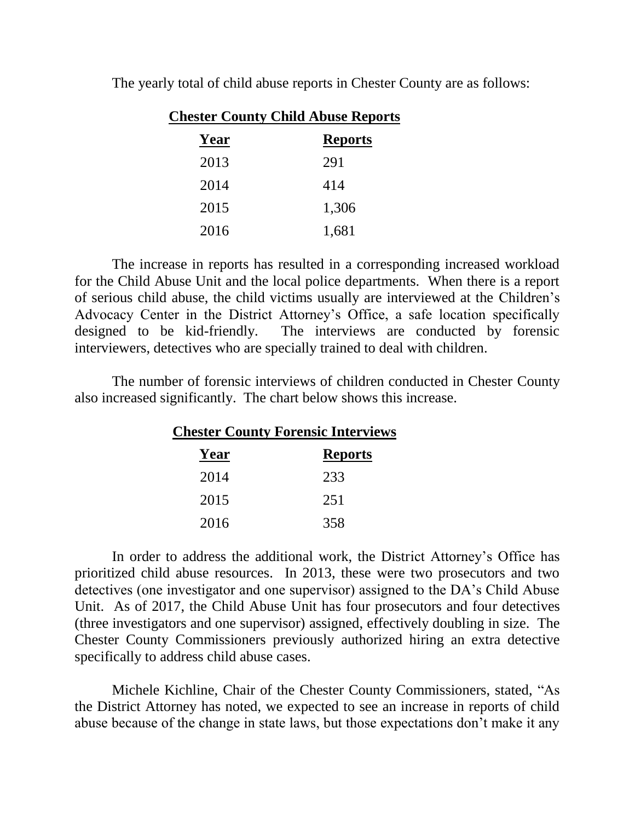| <b>Chester County Child Abuse Reports</b> |                |
|-------------------------------------------|----------------|
| Year                                      | <b>Reports</b> |
| 2013                                      | 291            |
| 2014                                      | 414            |
| 2015                                      | 1,306          |
| 2016                                      | 1,681          |

The yearly total of child abuse reports in Chester County are as follows:

The increase in reports has resulted in a corresponding increased workload for the Child Abuse Unit and the local police departments. When there is a report of serious child abuse, the child victims usually are interviewed at the Children's Advocacy Center in the District Attorney's Office, a safe location specifically designed to be kid-friendly. The interviews are conducted by forensic interviewers, detectives who are specially trained to deal with children.

The number of forensic interviews of children conducted in Chester County also increased significantly. The chart below shows this increase.

> **Chester County Forensic Interviews Year Reports** 2014 233 2015 251 2016 358

In order to address the additional work, the District Attorney's Office has prioritized child abuse resources. In 2013, these were two prosecutors and two detectives (one investigator and one supervisor) assigned to the DA's Child Abuse Unit. As of 2017, the Child Abuse Unit has four prosecutors and four detectives (three investigators and one supervisor) assigned, effectively doubling in size. The Chester County Commissioners previously authorized hiring an extra detective specifically to address child abuse cases.

Michele Kichline, Chair of the Chester County Commissioners, stated, "As the District Attorney has noted, we expected to see an increase in reports of child abuse because of the change in state laws, but those expectations don't make it any